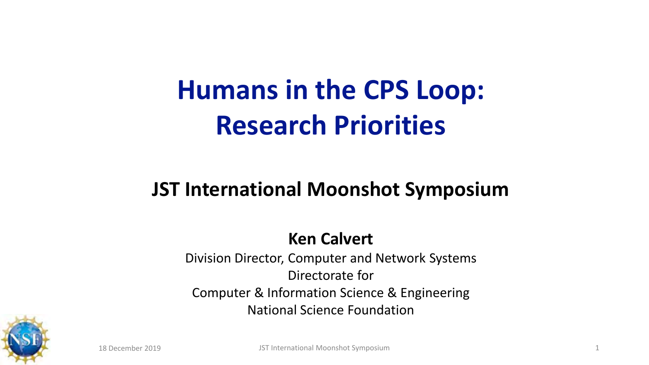# **Humans in the CPS Loop: Research Priorities**

#### **JST International Moonshot Symposium**

#### **Ken Calvert**

Division Director, Computer and Network Systems Directorate for Computer & Information Science & Engineering National Science Foundation

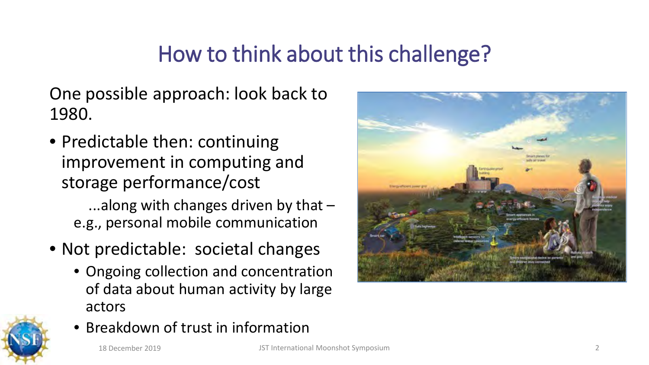### How to think about this challenge?

One possible approach: look back to 1980.

• Predictable then: continuing improvement in computing and storage performance/cost

...along with changes driven by that – e.g., personal mobile communication

- Not predictable: societal changes
	- Ongoing collection and concentration of data about human activity by large actors



• Breakdown of trust in information



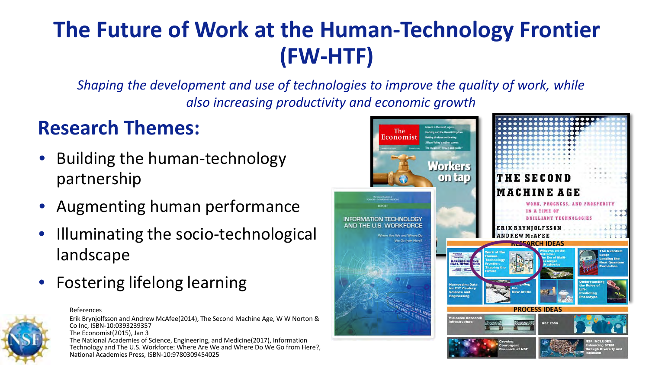### **The Future of Work at the Human-Technology Frontier (FW-HTF)**

*Shaping the development and use of technologies to improve the quality of work, while also increasing productivity and economic growth*

#### **Research Themes:**

- Building the human-technology partnership
- Augmenting human performance
- Illuminating the socio-technological landscape
- Fostering lifelong learning



References

Erik Brynjolfsson and Andrew McAfee(2014), The Second Machine Age, W W Norton & Co Inc, ISBN-10:0393239357 The Economist(2015), Jan 3 The National Academies of Science, Engineering, and Medicine(2017), Information Technology and The U.S. Workforce: Where Are We and Where Do We Go from Here?, National Academies Press, ISBN-10:9780309454025

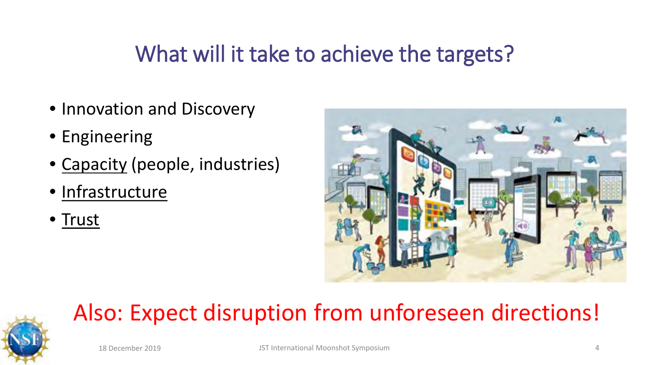### What will it take to achieve the targets?

- Innovation and Discovery
- Engineering
- Capacity (people, industries)
- Infrastructure
- Trust



## Also: Expect disruption from unforeseen directions!

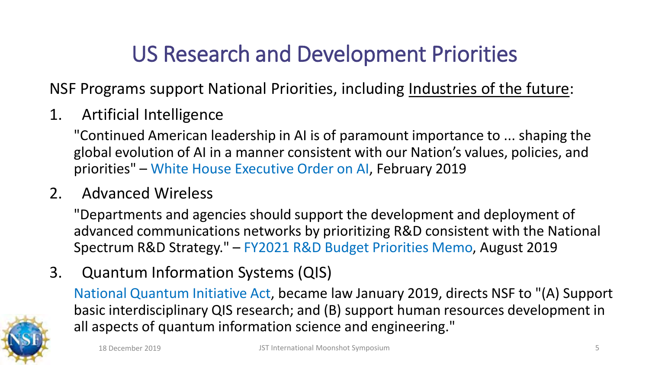### US Research and Development Priorities

NSF Programs support National Priorities, including Industries of the future:

1. Artificial Intelligence

"Continued American leadership in AI is of paramount importance to ... shaping the global evolution of AI in a manner consistent with our Nation's values, policies, and priorities" – White House Executive Order on AI, February 2019

#### 2. Advanced Wireless

"Departments and agencies should support the development and deployment of advanced communications networks by prioritizing R&D consistent with the National Spectrum R&D Strategy." – FY2021 R&D Budget Priorities Memo, August 2019

3. Quantum Information Systems (QIS)

National Quantum Initiative Act, became law January 2019, directs NSF to "(A) Support basic interdisciplinary QIS research; and (B) support human resources development in all aspects of quantum information science and engineering."

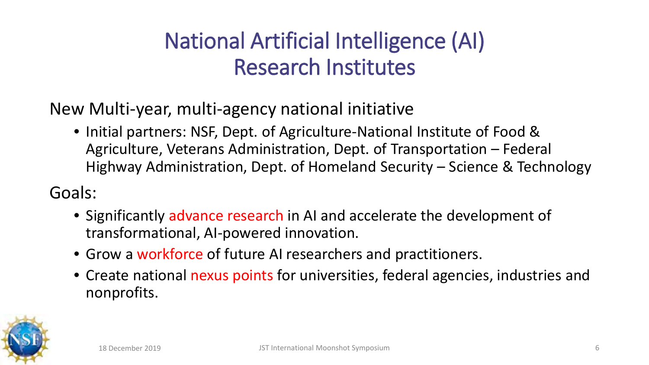### National Artificial Intelligence (AI) Research Institutes

New Multi-year, multi-agency national initiative

• Initial partners: NSF, Dept. of Agriculture-National Institute of Food & Agriculture, Veterans Administration, Dept. of Transportation – Federal Highway Administration, Dept. of Homeland Security – Science & Technology

Goals:

- Significantly advance research in AI and accelerate the development of transformational, AI-powered innovation.
- Grow a workforce of future AI researchers and practitioners.
- Create national nexus points for universities, federal agencies, industries and nonprofits.

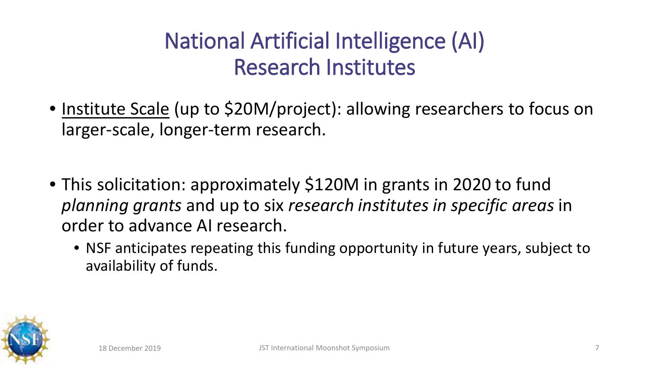### National Artificial Intelligence (AI) Research Institutes

- Institute Scale (up to \$20M/project): allowing researchers to focus on larger-scale, longer-term research.
- This solicitation: approximately \$120M in grants in 2020 to fund *planning grants* and up to six *research institutes in specific areas* in order to advance AI research.
	- NSF anticipates repeating this funding opportunity in future years, subject to availability of funds.

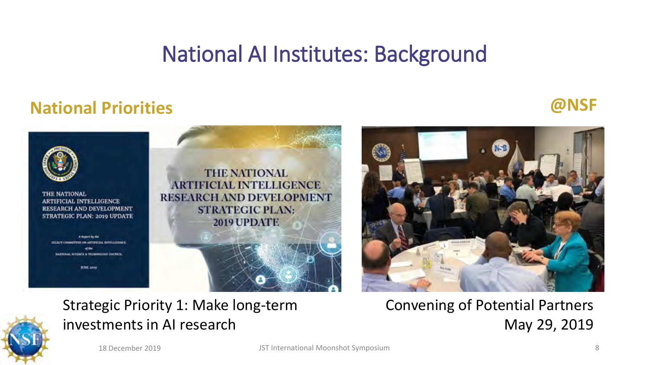### National AI Institutes: Background

#### **National Priorities @NSF**





Convening of Potential Partners May 29, 2019

#### Strategic Priority 1: Make long-term investments in AI research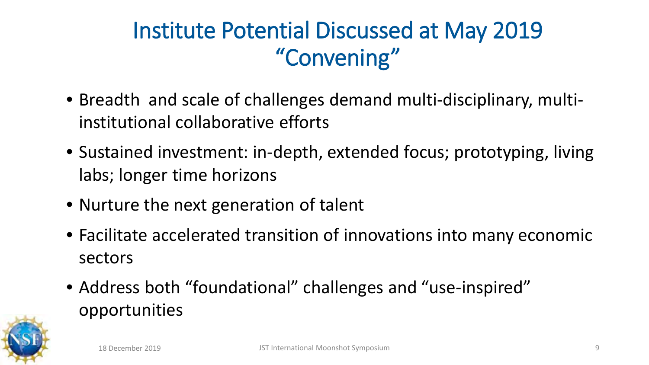### Institute Potential Discussed at May 2019 "Convening"

- Breadth and scale of challenges demand multi-disciplinary, multiinstitutional collaborative efforts
- Sustained investment: in-depth, extended focus; prototyping, living labs; longer time horizons
- Nurture the next generation of talent
- Facilitate accelerated transition of innovations into many economic sectors
- Address both "foundational" challenges and "use-inspired" opportunities

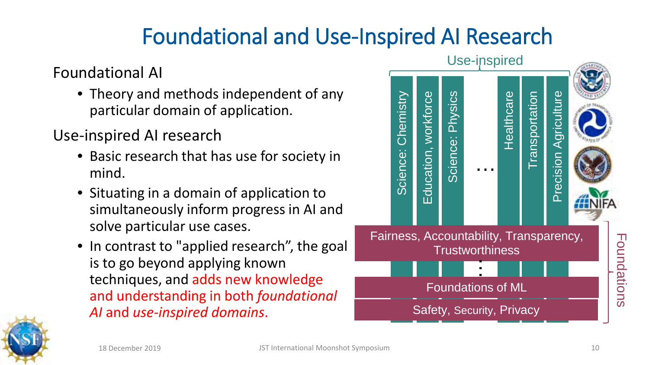### Foundational and Use-Inspired AI Research

#### Foundational AI

- Theory and methods independent of any particular domain of application.
- Use-inspired AI research
	- Basic research that has use for society in mind.
	- Situating in a domain of application to simultaneously inform progress in AI and solve particular use cases.
	- In contrast to "applied research", the goal is to go beyond applying known techniques, and adds new knowledge and understanding in both *foundational AI* and *use-inspired domains*.



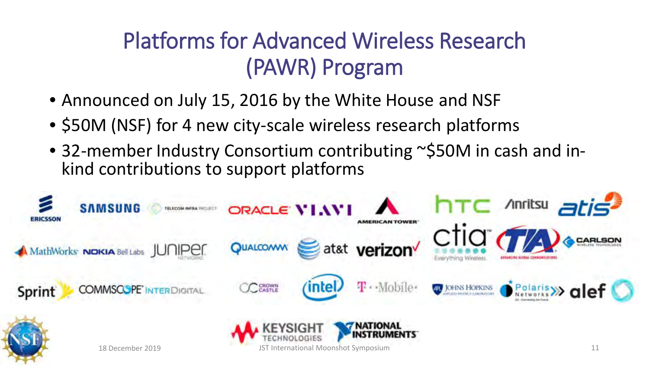### Platforms for Advanced Wireless Research (PAWR) Program

- Announced on July 15, 2016 by the White House and NSF
- \$50M (NSF) for 4 new city-scale wireless research platforms
- 32-member Industry Consortium contributing ~\$50M in cash and in-<br>kind contributions to support platforms

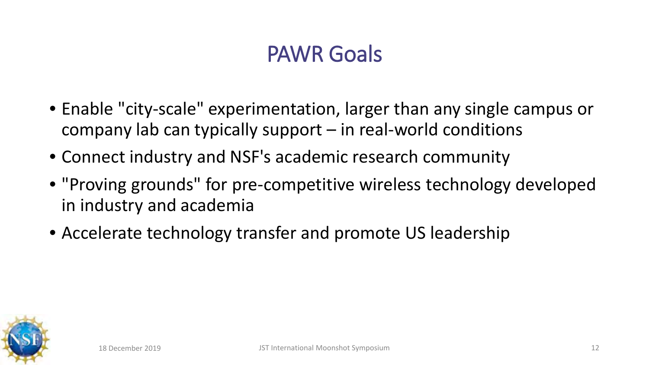### PAWR Goals

- Enable "city-scale" experimentation, larger than any single campus or company lab can typically support  $-$  in real-world conditions
- Connect industry and NSF's academic research community
- "Proving grounds" for pre-competitive wireless technology developed in industry and academia
- Accelerate technology transfer and promote US leadership

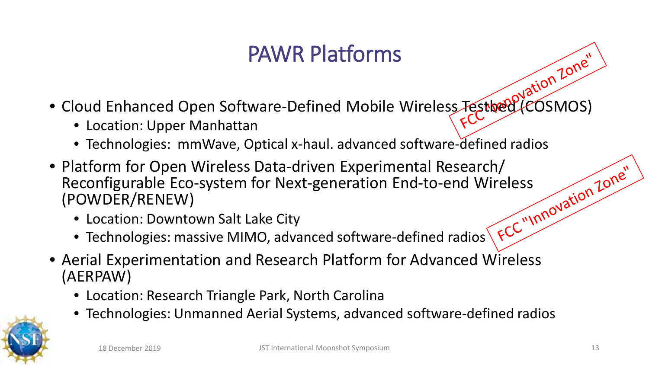### PAWR Platforms

- Cloud Enhanced Open Software-Defined Mobile Wireless Testbed (COSMOS)
	- Location: Upper Manhattan
	- Technologies: mmWave, Optical x-haul. advanced software-defined radios
- Platform for Open Wireless Data-driven Experimental Research/<br>
Reconfigurable Eco-system for Next-generation End-to-end Wireless<br>
(POWDER/RENEW)<br>
 Location: Downtown Salt Lake City<br>
 Technology Reconfigurable Eco-system for Next-generation End-to-end Wireless (POWDER/RENEW)
	- Location: Downtown Salt Lake City
	- Technologies: massive MIMO, advanced software-defined radios
- Aerial Experimentation and Research Platform for Advanced Wireless (AERPAW)
	- Location: Research Triangle Park, North Carolina
	- Technologies: Unmanned Aerial Systems, advanced software-defined radios

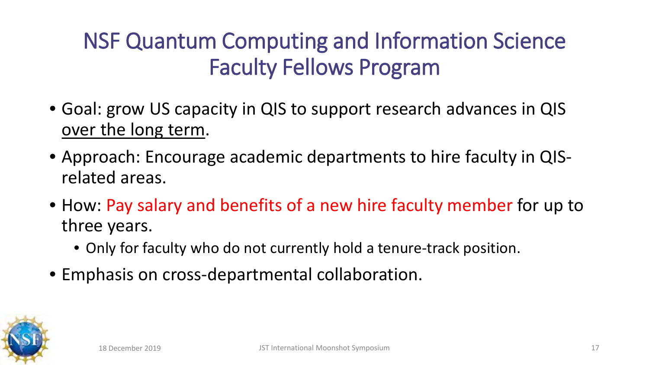### NSF Quantum Computing and Information Science Faculty Fellows Program

- Goal: grow US capacity in QIS to support research advances in QIS over the long term.
- Approach: Encourage academic departments to hire faculty in QISrelated areas.
- How: Pay salary and benefits of a new hire faculty member for up to three years.
	- Only for faculty who do not currently hold a tenure-track position.
- Emphasis on cross-departmental collaboration.

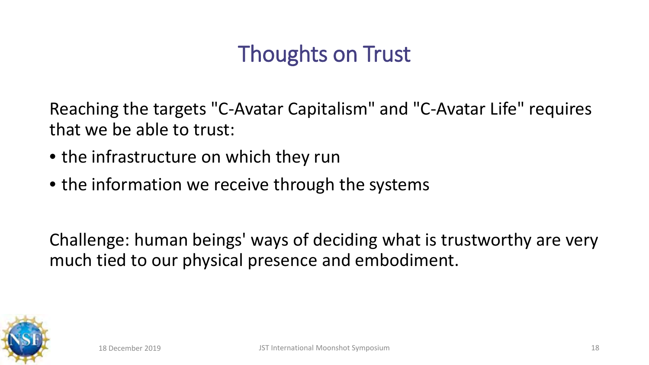### Thoughts on Trust

Reaching the targets "C-Avatar Capitalism" and "C-Avatar Life" requires that we be able to trust:

- the infrastructure on which they run
- the information we receive through the systems

Challenge: human beings' ways of deciding what is trustworthy are very much tied to our physical presence and embodiment.

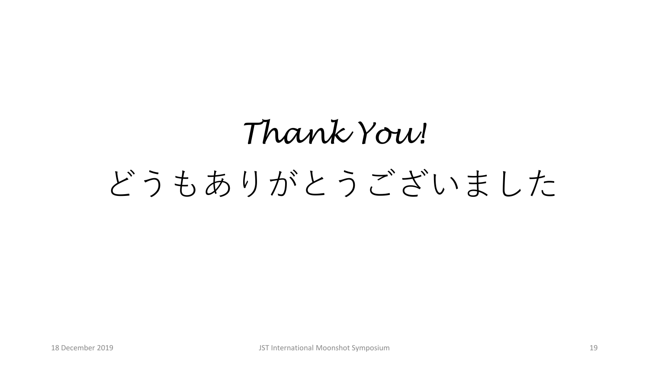# *Thank You!* どうもありがとうございました